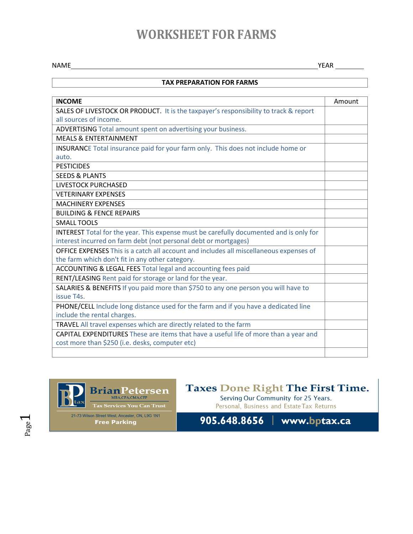# **WORKSHEET FOR FARMS**

NAME YEAR

### **TAX PREPARATION FOR FARMS**

| <b>INCOME</b>                                                                                 | Amount |
|-----------------------------------------------------------------------------------------------|--------|
| SALES OF LIVESTOCK OR PRODUCT. It is the taxpayer's responsibility to track & report          |        |
| all sources of income.                                                                        |        |
| ADVERTISING Total amount spent on advertising your business.                                  |        |
| <b>MEALS &amp; ENTERTAINMENT</b>                                                              |        |
| INSURANCE Total insurance paid for your farm only. This does not include home or              |        |
| auto.                                                                                         |        |
| <b>PESTICIDES</b>                                                                             |        |
| <b>SEEDS &amp; PLANTS</b>                                                                     |        |
| <b>LIVESTOCK PURCHASED</b>                                                                    |        |
| <b>VETERINARY EXPENSES</b>                                                                    |        |
| <b>MACHINERY EXPENSES</b>                                                                     |        |
| <b>BUILDING &amp; FENCE REPAIRS</b>                                                           |        |
| <b>SMALL TOOLS</b>                                                                            |        |
| <b>INTEREST</b> Total for the year. This expense must be carefully documented and is only for |        |
| interest incurred on farm debt (not personal debt or mortgages)                               |        |
| OFFICE EXPENSES This is a catch all account and includes all miscellaneous expenses of        |        |
| the farm which don't fit in any other category.                                               |        |
| ACCOUNTING & LEGAL FEES Total legal and accounting fees paid                                  |        |
| RENT/LEASING Rent paid for storage or land for the year.                                      |        |
| SALARIES & BENEFITS If you paid more than \$750 to any one person you will have to            |        |
| issue T4s.                                                                                    |        |
| PHONE/CELL Include long distance used for the farm and if you have a dedicated line           |        |
| include the rental charges.                                                                   |        |
| TRAVEL All travel expenses which are directly related to the farm                             |        |
| CAPITAL EXPENDITURES These are items that have a useful life of more than a year and          |        |
| cost more than \$250 (i.e. desks, computer etc)                                               |        |
|                                                                                               |        |



21-73 Wilson Street West, Ancaster, ON, L9G 1N1 **Free Parking** 

**Taxes Done Right The First Time.**<br>Serving Our Community for 25 Years.

Personal, Business and Estate Tax Returns

905.648.8656 | www.bptax.ca